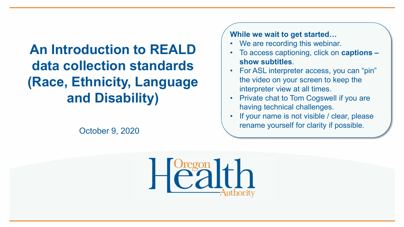## **An Introduction to REALD data collection standards (Race, Ethnicity, Language and Disability)**

**While we wait to get started…**

- We are recording this webinar.
- To access captioning, click on **captions – show subtitles**.
- For ASL interpreter access, you can "pin" the video on your screen to keep the interpreter view at all times.
- Private chat to Tom Cogswell if you are having technical challenges.
- If your name is not visible / clear, please rename yourself for clarity if possible. October 9, 2020

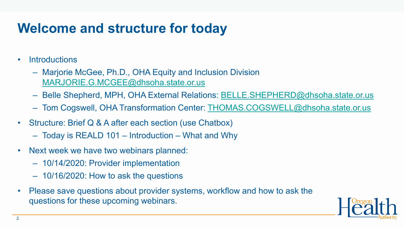## **Welcome and structure for today**

- Introductions
	- Marjorie McGee, Ph.D., OHA Equity and Inclusion Division [MARJORIE.G.MCGEE@dhsoha.state.or.us](mailto:MARJORIE.G.MCGEE@dhsoha.state.or.us)
	- Belle Shepherd, MPH, OHA External Relations: [BELLE.SHEPHERD@dhsoha.state.or.us](mailto:BELLE.SHEPHERD@dhsoha.state.or.us)
	- Tom Cogswell, OHA Transformation Center: [THOMAS.COGSWELL@dhsoha.state.or.us](mailto:THOMAS.COGSWELL@dhsoha.state.or.us)
- Structure: Brief Q & A after each section (use Chatbox)
	- Today is REALD 101 Introduction What and Why
- Next week we have two webinars planned:
	- 10/14/2020: Provider implementation
	- 10/16/2020: How to ask the questions
- Please save questions about provider systems, workflow and how to ask the questions for these upcoming webinars.

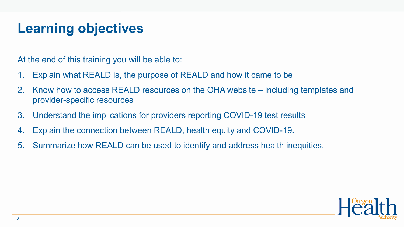## **Learning objectives**

At the end of this training you will be able to:

- 1. Explain what REALD is, the purpose of REALD and how it came to be
- 2. Know how to access REALD resources on the OHA website including templates and provider-specific resources
- 3. Understand the implications for providers reporting COVID-19 test results
- 4. Explain the connection between REALD, health equity and COVID-19.
- 5. Summarize how REALD can be used to identify and address health inequities.

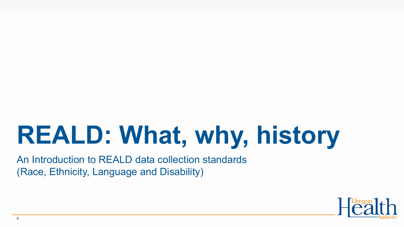# **REALD: What, why, history**

An Introduction to REALD data collection standards (Race, Ethnicity, Language and Disability)

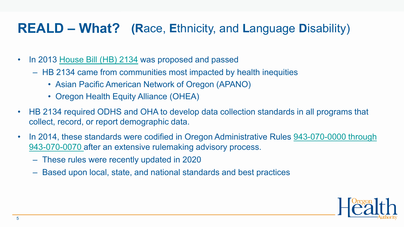## **REALD – What? (R**ace, **E**thnicity, and **L**anguage **D**isability)

- In 2013 [House Bill \(HB\) 2134](https://olis.leg.state.or.us/liz/2013R1/Downloads/MeasureDocument/HB2134) was proposed and passed
	- HB 2134 came from communities most impacted by health inequities
		- Asian Pacific American Network of Oregon (APANO)
		- Oregon Health Equity Alliance (OHEA)
- HB 2134 required ODHS and OHA to develop data collection standards in all programs that collect, record, or report demographic data.
- In 2014, these standards were codified in Oregon Administrative Rules 943-070-0000 through 943-070-0070 after an extensive rulemaking advisory process.
	- These rules were recently updated in 2020
	- Based upon local, state, and national standards and best practices

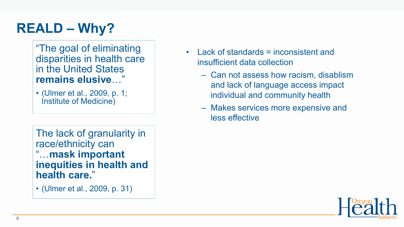## **REALD – Why?**

"The goal of eliminating disparities in health care in the United States **remains elusive**…"

• (Ulmer et al., 2009, p. 1; Institute of Medicine)

The lack of granularity in race/ethnicity can "…**mask important inequities in health and health care.**"

• (Ulmer et al., 2009, p. 31)

- Lack of standards = inconsistent and insufficient data collection
	- Can not assess how racism, disablism and lack of language access impact individual and community health
	- Makes services more expensive and less effective

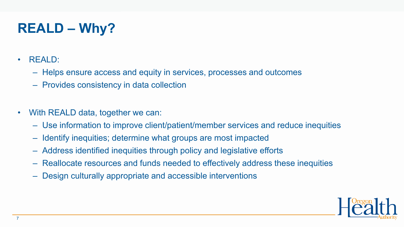## **REALD – Why?**

- REALD:
	- Helps ensure access and equity in services, processes and outcomes
	- Provides consistency in data collection
- With REALD data, together we can:
	- Use information to improve client/patient/member services and reduce inequities
	- Identify inequities; determine what groups are most impacted
	- Address identified inequities through policy and legislative efforts
	- Reallocate resources and funds needed to effectively address these inequities
	- Design culturally appropriate and accessible interventions

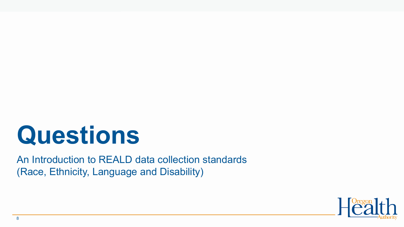# **Questions**

An Introduction to REALD data collection standards (Race, Ethnicity, Language and Disability)

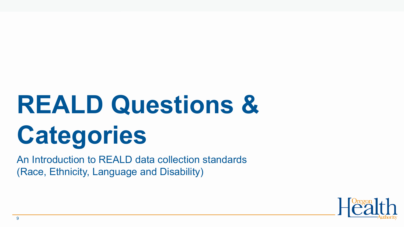# **REALD Questions & Categories**

An Introduction to REALD data collection standards (Race, Ethnicity, Language and Disability)

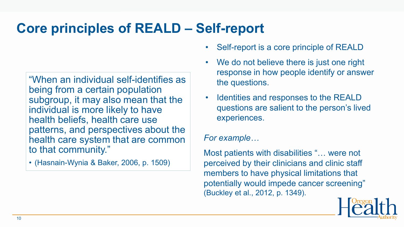## **Core principles of REALD – Self-report**

"When an individual self-identifies as being from a certain population subgroup, it may also mean that the individual is more likely to have health beliefs, health care use patterns, and perspectives about the health care system that are common to that community."

• (Hasnain-Wynia & Baker, 2006, p. 1509)

- Self-report is a core principle of REALD
- We do not believe there is just one right response in how people identify or answer the questions.
- Identities and responses to the REALD questions are salient to the person's lived experiences.

### *For example…*

Most patients with disabilities "… were not perceived by their clinicians and clinic staff members to have physical limitations that potentially would impede cancer screening" (Buckley et al., 2012, p. 1349).

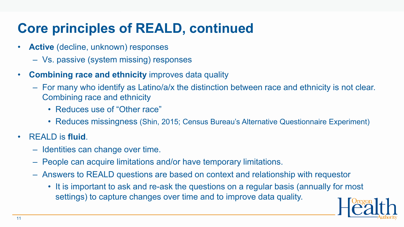## **Core principles of REALD, continued**

- **Active** (decline, unknown) responses
	- Vs. passive (system missing) responses
- **Combining race and ethnicity** improves data quality
	- For many who identify as Latino/a/x the distinction between race and ethnicity is not clear. Combining race and ethnicity
		- Reduces use of "Other race"
		- Reduces missingness (Shin, 2015; Census Bureau's Alternative Questionnaire Experiment)
- REALD is **fluid**.
	- Identities can change over time.
	- People can acquire limitations and/or have temporary limitations.
	- Answers to REALD questions are based on context and relationship with requestor
		- It is important to ask and re-ask the questions on a regular basis (annually for most settings) to capture changes over time and to improve data quality.

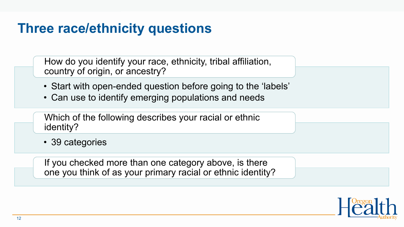## **Three race/ethnicity questions**

How do you identify your race, ethnicity, tribal affiliation, country of origin, or ancestry?

- Start with open-ended question before going to the 'labels'
- Can use to identify emerging populations and needs

Which of the following describes your racial or ethnic identity?

• 39 categories

If you checked more than one category above, is there one you think of as your primary racial or ethnic identity?

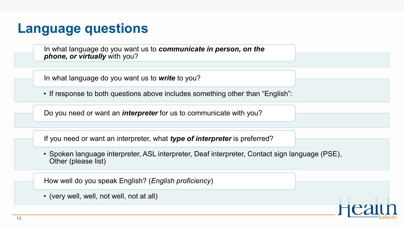### **Language questions**

In what language do you want us to *communicate in person, on the phone, or virtually* with you?

In what language do you want us to *write* to you?

• If response to both questions above includes something other than "English":

Do you need or want an *interpreter* for us to communicate with you?

If you need or want an interpreter, what *type of interpreter* is preferred?

• Spoken language interpreter, ASL interpreter, Deaf interpreter, Contact sign language (PSE), Other (please list)

How well do you speak English? (*English proficiency*)

• (very well, well, not well, not at all)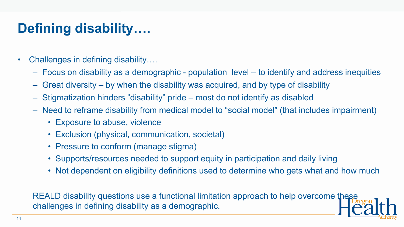## **Defining disability….**

- Challenges in defining disability....
	- Focus on disability as a demographic population level to identify and address inequities
	- Great diversity by when the disability was acquired, and by type of disability
	- Stigmatization hinders "disability" pride most do not identify as disabled
	- Need to reframe disability from medical model to "social model" (that includes impairment)
		- Exposure to abuse, violence
		- Exclusion (physical, communication, societal)
		- Pressure to conform (manage stigma)
		- Supports/resources needed to support equity in participation and daily living
		- Not dependent on eligibility definitions used to determine who gets what and how much

REALD disability questions use a functional limitation approach to help overcome these challenges in defining disability as a demographic.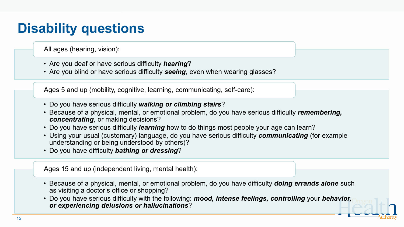## **Disability questions**

All ages (hearing, vision):

- Are you deaf or have serious difficulty *hearing*?
- Are you blind or have serious difficulty *seeing*, even when wearing glasses?

Ages 5 and up (mobility, cognitive, learning, communicating, self-care):

- Do you have serious difficulty *walking or climbing stairs*?
- Because of a physical, mental, or emotional problem, do you have serious difficulty *remembering, concentrating*, or making decisions?
- Do you have serious difficulty *learning* how to do things most people your age can learn?
- Using your usual (customary) language, do you have serious difficulty *communicating* (for example understanding or being understood by others)?
- Do you have difficulty *bathing or dressing*?

Ages 15 and up (independent living, mental health):

- Because of a physical, mental, or emotional problem, do you have difficulty *doing errands alone* such as visiting a doctor's office or shopping?
- Do you have serious difficulty with the following: *mood, intense feelings, controlling* your *behavior, or experiencing delusions or hallucinations*?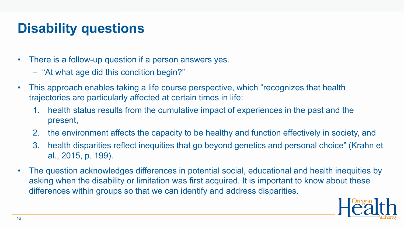## **Disability questions**

- There is a follow-up question if a person answers yes.
	- "At what age did this condition begin?"
- This approach enables taking a life course perspective, which "recognizes that health trajectories are particularly affected at certain times in life:
	- 1. health status results from the cumulative impact of experiences in the past and the present,
	- 2. the environment affects the capacity to be healthy and function effectively in society, and
	- 3. health disparities reflect inequities that go beyond genetics and personal choice" (Krahn et al., 2015, p. 199).
- The question acknowledges differences in potential social, educational and health inequities by asking when the disability or limitation was first acquired. It is important to know about these differences within groups so that we can identify and address disparities.

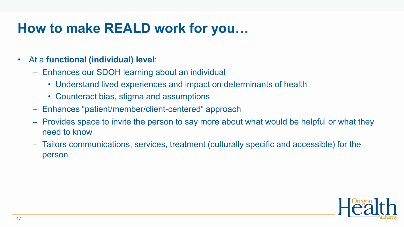## **How to make REALD work for you…**

### • At a **functional (individual) level**:

- Enhances our SDOH learning about an individual
	- Understand lived experiences and impact on determinants of health
	- Counteract bias, stigma and assumptions
- Enhances "patient/member/client-centered" approach
- Provides space to invite the person to say more about what would be helpful or what they need to know
- Tailors communications, services, treatment (culturally specific and accessible) for the person

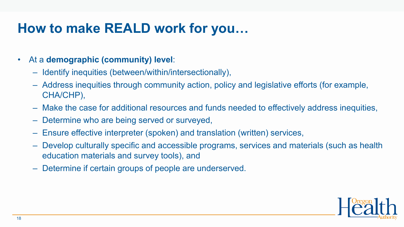## **How to make REALD work for you…**

### • At a **demographic (community) level**:

- Identify inequities (between/within/intersectionally),
- Address inequities through community action, policy and legislative efforts (for example, CHA/CHP),
- Make the case for additional resources and funds needed to effectively address inequities,
- Determine who are being served or surveyed,
- Ensure effective interpreter (spoken) and translation (written) services,
- Develop culturally specific and accessible programs, services and materials (such as health education materials and survey tools), and
- Determine if certain groups of people are underserved.

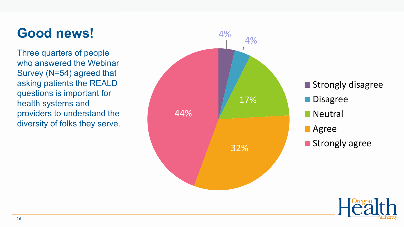## **Good news!**

Three quarters of people who answered the Webinar Survey (N=54) agreed that asking patients the REALD questions is important for health systems and providers to understand the diversity of folks they serve.



Strongly disagree

**Disagree** 

**Neutral** 

**Agree** 

**Strongly agree** 

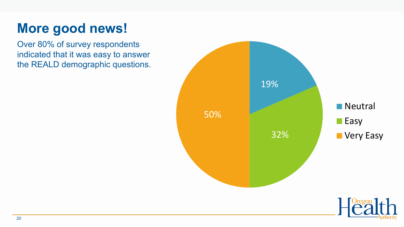## **More good news!**

Over 80% of survey respondents indicated that it was easy to answer the REALD demographic questions.



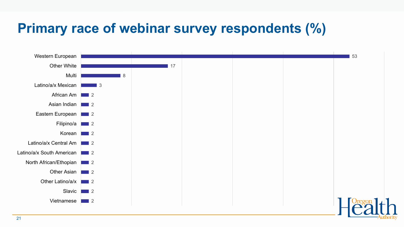## **Primary race of webinar survey respondents (%)**

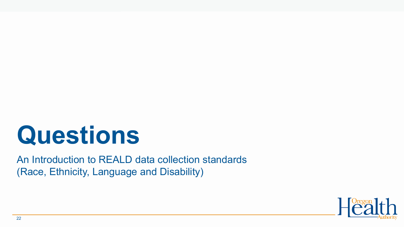# **Questions**

An Introduction to REALD data collection standards (Race, Ethnicity, Language and Disability)

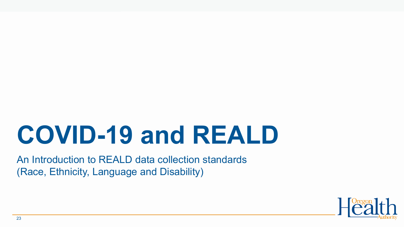# **COVID-19 and REALD**

An Introduction to REALD data collection standards (Race, Ethnicity, Language and Disability)

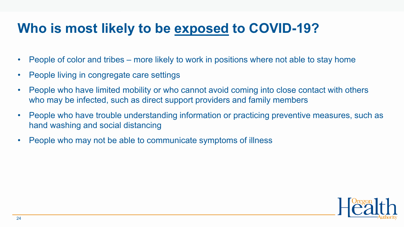## **Who is most likely to be exposed to COVID-19?**

- People of color and tribes more likely to work in positions where not able to stay home
- People living in congregate care settings
- People who have limited mobility or who cannot avoid coming into close contact with others who may be infected, such as direct support providers and family members
- People who have trouble understanding information or practicing preventive measures, such as hand washing and social distancing
- People who may not be able to communicate symptoms of illness

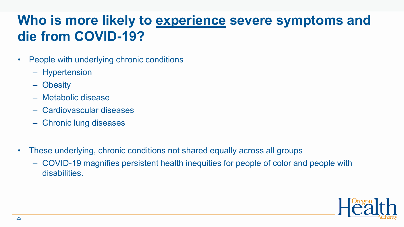## **Who is more likely to experience severe symptoms and die from COVID-19?**

- People with underlying chronic conditions
	- Hypertension
	- Obesity
	- Metabolic disease
	- Cardiovascular diseases
	- Chronic lung diseases
- These underlying, chronic conditions not shared equally across all groups
	- COVID-19 magnifies persistent health inequities for people of color and people with disabilities.

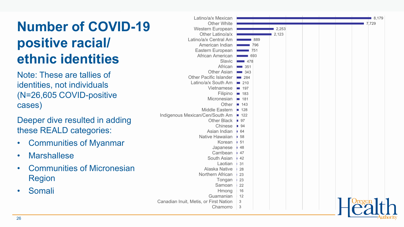## **Number of COVID -19 positive racial/ ethnic identities**

Note: These are tallies of identities, not individuals (N=26,605 COVID -positive cases)

Deeper dive resulted in adding these REALD categories:

- Communities of Myanmar
- Marshallese
- Communities of Micronesian Region
- Somali

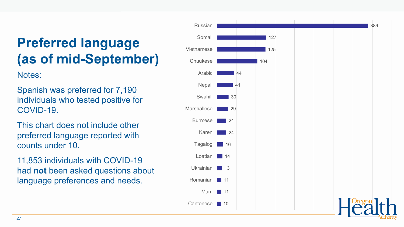## **Preferred language (as of mid -September)**

Notes:

Spanish was preferred for 7,190 individuals who tested positive for COVID -19.

This chart does not include other preferred language reported with counts under 10.

11,853 individuals with COVID -19 had **not** been asked questions about language preferences and needs.

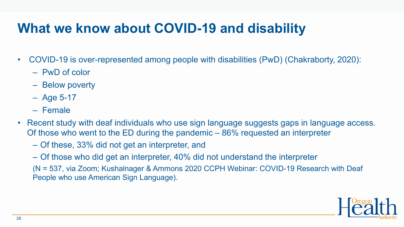## **What we know about COVID-19 and disability**

- COVID-19 is over-represented among people with disabilities (PwD) (Chakraborty, 2020):
	- PwD of color
	- Below poverty
	- Age 5-17
	- Female
- Recent study with deaf individuals who use sign language suggests gaps in language access. Of those who went to the ED during the pandemic – 86% requested an interpreter
	- Of these, 33% did not get an interpreter, and
	- Of those who did get an interpreter, 40% did not understand the interpreter
	- (N = 537, via Zoom; Kushalnager & Ammons 2020 CCPH Webinar: COVID-19 Research with Deaf People who use American Sign Language).

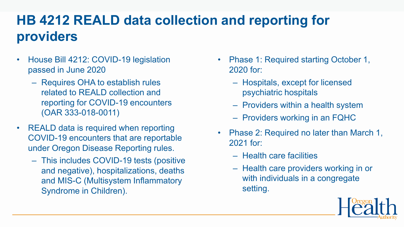## **HB 4212 REALD data collection and reporting for providers**

- House Bill 4212: COVID-19 legislation passed in June 2020
	- Requires OHA to establish rules related to REALD collection and reporting for COVID-19 encounters (OAR 333-018-0011)
- REALD data is required when reporting COVID-19 encounters that are reportable under Oregon Disease Reporting rules.
	- This includes COVID-19 tests (positive and negative), hospitalizations, deaths and MIS-C (Multisystem Inflammatory Syndrome in Children).
- Phase 1: Required starting October 1, 2020 for:
	- Hospitals, except for licensed psychiatric hospitals
	- Providers within a health system
	- Providers working in an FQHC
- Phase 2: Required no later than March 1, 2021 for:
	- Health care facilities
	- Health care providers working in or with individuals in a congregate setting.

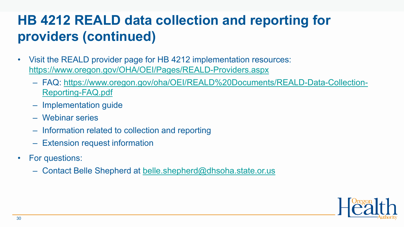## **HB 4212 REALD data collection and reporting for providers (continued)**

- Visit the REALD provider page for HB 4212 implementation resources: <https://www.oregon.gov/OHA/OEI/Pages/REALD-Providers.aspx>
	- [FAQ: https://www.oregon.gov/oha/OEI/REALD%20Documents/REALD-Data-Collection-](https://www.oregon.gov/oha/OEI/REALD%20Documents/REALD-Data-Collection-Reporting-FAQ.pdf)Reporting-FAQ.pdf
	- Implementation guide
	- Webinar series
	- Information related to collection and reporting
	- Extension request information
- For questions:
	- Contact Belle Shepherd at [belle.shepherd@dhsoha.state.or.us](mailto:belle.shepherd@dhsoha.state.or.us)

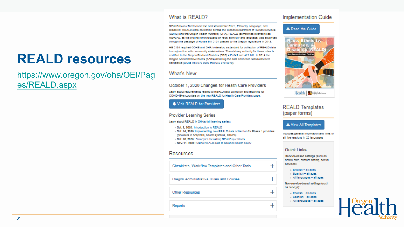## **REALD resources**

### [https://www.oregon.gov/oha/OEI/Pag](https://www.oregon.gov/oha/OEI/Pages/REALD.aspx) es/REALD.aspx

#### What is REALD?

REALD is an effort to increase and standardize Race, Ethnicity, Language, and Disability (REALD) data collection across the Oregon Department of Human Services (ODHS) and the Oregon Health Authority (OHA). REALD (sometimes referred to as REAL+D, as the original effort focused on race, ethnicity and language) was advanced through the passage of House BIII 2134 passed by the Oregon legislature in 2013.

HB 2134 required ODHS and OHA to develop a standard for collection of REALD data In conjunction with community stakeholders. The statuary authority for these rules is codified in the Oregon Revised Statutes (ORS) 413.042 and 413.161. In 2014 the Oregon Administrative Rules (OARs) detailing the data collection standards were completed (OARs 943-070-0000 thru 943-070-0070).

### What's New:

October 1, 2020 Changes for Health Care Providers

Learn about requirements related to REALD data collection and reporting for COVID-19 encounters on the new REALD for Health Care Providers page.

Visit REALD for Providers

#### **Provider Learning Series**

Learn about REALD in OHA's fall learning series:

- . Oof. 9, 2020: Introduction to REALD
- . Oof, 14, 2020; implementing new REALD data collection for Phase 1 providers (providers in hospitals, health systems, FQHCs)
- . Oot. 18, 2020: Strategies for asking REALD questions
- . Nov. 11, 2020: Using REALD data to advance health equity

#### Resources

Checklists, Workflow Templates and Other Tools

Oregon Administrative Rules and Policies

Other Resources

Reports

### **Implementation Guide**

#### & Read the Guide



Health Eawahdoor

### **REALD Templates** (paper forms)

#### **&** View All Templates

Includes general Information and links to all five versions in 20 languages

#### Quick Links

 $\pm$ 

 $^{+}$ 

 $\pm$ 

 $\ddot{}$ 

Service-based settings (such as health care, contact tracing, social services):

- English all ages
- Spanish all ages
- All languages all ages

Non-service-based settings (such as surveys):

- English all ages
- Spanish all ages
- All languages all ages

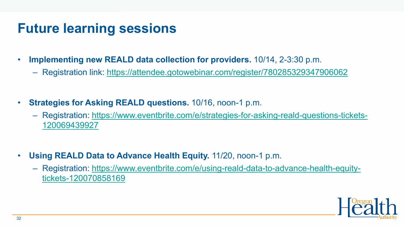## **Future learning sessions**

- **Implementing new REALD data collection for providers.** 10/14, 2-3:30 p.m.
	- Registration link: <https://attendee.gotowebinar.com/register/780285329347906062>
- **Strategies for Asking REALD questions.** 10/16, noon-1 p.m.
	- [Registration: https://www.eventbrite.com/e/strategies-for-asking-reald-questions-tickets-](https://www.eventbrite.com/e/strategies-for-asking-reald-questions-tickets-120069439927)120069439927
- **Using REALD Data to Advance Health Equity.** 11/20, noon-1 p.m.
	- [Registration: https://www.eventbrite.com/e/using-reald-data-to-advance-health-equity](https://www.eventbrite.com/e/using-reald-data-to-advance-health-equity-tickets-120070858169)tickets-120070858169

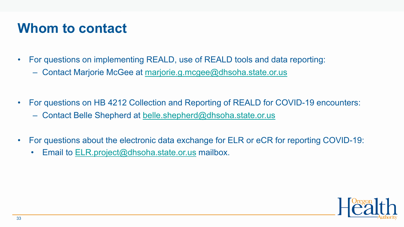### **Whom to contact**

- For questions on implementing REALD, use of REALD tools and data reporting:
	- Contact Marjorie McGee at [marjorie.g.mcgee@dhsoha.state.or.us](mailto:Marjorie.g.mcgee@dhsoha.state.or.us)
- For questions on HB 4212 Collection and Reporting of REALD for COVID-19 encounters: – Contact Belle Shepherd at [belle.shepherd@dhsoha.state.or.us](mailto:belle.shepherd@dhsoha.state.or.us)
- For questions about the electronic data exchange for ELR or eCR for reporting COVID-19:
	- Email to [ELR.project@dhsoha.state.or.us](mailto:ELR.project@dhsoha.state.or.us) mailbox.